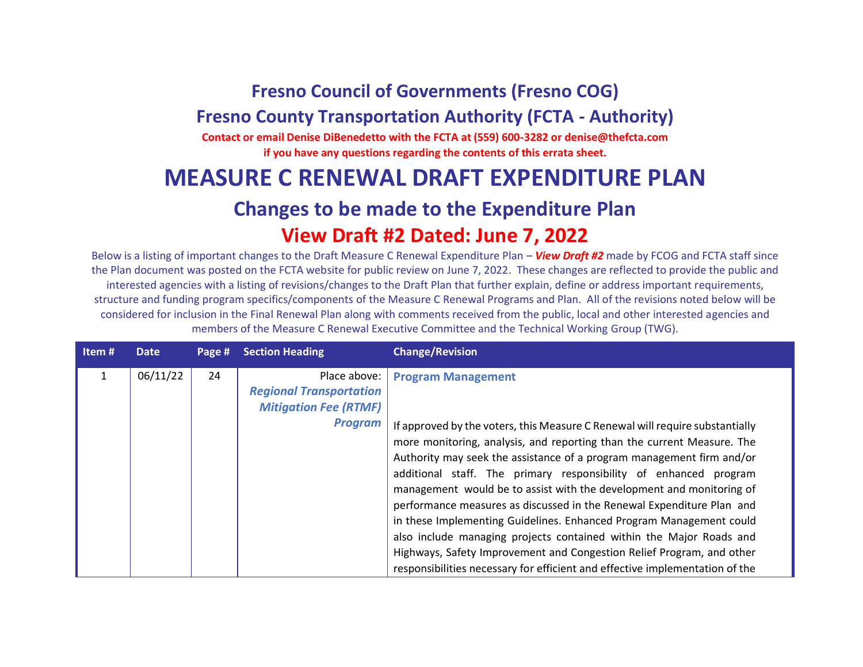## **Fresno Council of Governments (Fresno COG)**

## **Fresno County Transportation Authority (FCTA - Authority)**

**Contact or email Denise DiBenedetto with the FCTA at (559) 600-3282 or denise@thefcta.com if you have any questions regarding the contents of this errata sheet.**

## **MEASURE C RENEWAL DRAFT EXPENDITURE PLAN**

## **Changes to be made to the Expenditure Plan View Draft #2 Dated: June 7, 2022**

Below is a listing of important changes to the Draft Measure C Renewal Expenditure Plan – *View Draft #2* made by FCOG and FCTA staff since the Plan document was posted on the FCTA website for public review on June 7, 2022. These changes are reflected to provide the public and interested agencies with a listing of revisions/changes to the Draft Plan that further explain, define or address important requirements, structure and funding program specifics/components of the Measure C Renewal Programs and Plan. All of the revisions noted below will be considered for inclusion in the Final Renewal Plan along with comments received from the public, local and other interested agencies and members of the Measure C Renewal Executive Committee and the Technical Working Group (TWG).

| Item# | <b>Date</b> | Page # | <b>Section Heading</b>                                                                           | <b>Change/Revision</b>                                                                                                                                                                                                                                                                                                                                                                                                                                                                                                                                                                                                                                                                                   |
|-------|-------------|--------|--------------------------------------------------------------------------------------------------|----------------------------------------------------------------------------------------------------------------------------------------------------------------------------------------------------------------------------------------------------------------------------------------------------------------------------------------------------------------------------------------------------------------------------------------------------------------------------------------------------------------------------------------------------------------------------------------------------------------------------------------------------------------------------------------------------------|
| 1     | 06/11/22    | 24     | Place above:<br><b>Regional Transportation</b><br><b>Mitigation Fee (RTMF)</b><br><b>Program</b> | <b>Program Management</b><br>If approved by the voters, this Measure C Renewal will require substantially<br>more monitoring, analysis, and reporting than the current Measure. The<br>Authority may seek the assistance of a program management firm and/or<br>additional staff. The primary responsibility of enhanced program<br>management would be to assist with the development and monitoring of<br>performance measures as discussed in the Renewal Expenditure Plan and<br>in these Implementing Guidelines. Enhanced Program Management could<br>also include managing projects contained within the Major Roads and<br>Highways, Safety Improvement and Congestion Relief Program, and other |
|       |             |        |                                                                                                  | responsibilities necessary for efficient and effective implementation of the                                                                                                                                                                                                                                                                                                                                                                                                                                                                                                                                                                                                                             |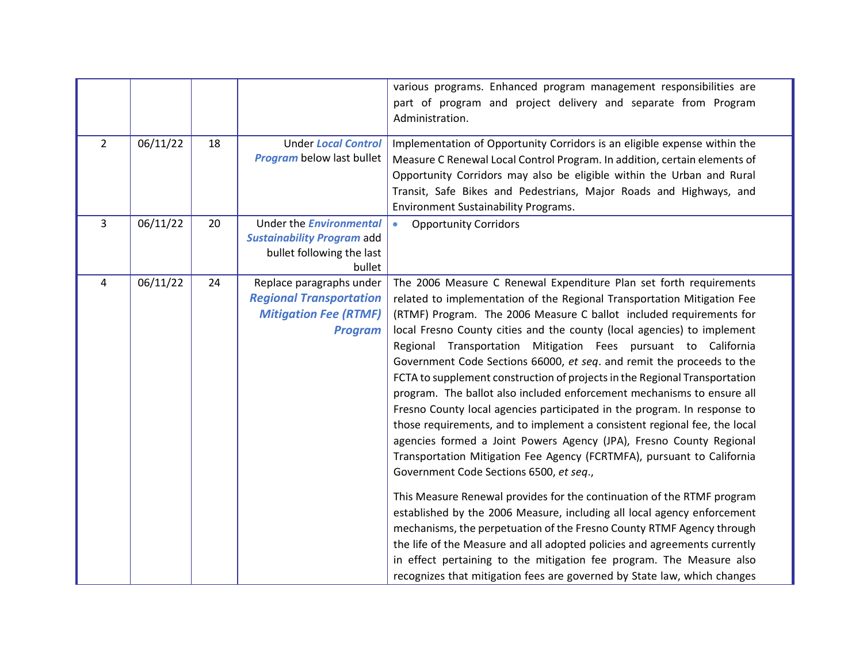|                |          |    |                                                                                                              | various programs. Enhanced program management responsibilities are<br>part of program and project delivery and separate from Program<br>Administration.                                                                                                                                                                                                                                                                                                                                                                                                                                                                                                                                                                                                                                                                                                                                                                                                                                                                                                                                                                                                                                                                                                                                                                                                                                                                |
|----------------|----------|----|--------------------------------------------------------------------------------------------------------------|------------------------------------------------------------------------------------------------------------------------------------------------------------------------------------------------------------------------------------------------------------------------------------------------------------------------------------------------------------------------------------------------------------------------------------------------------------------------------------------------------------------------------------------------------------------------------------------------------------------------------------------------------------------------------------------------------------------------------------------------------------------------------------------------------------------------------------------------------------------------------------------------------------------------------------------------------------------------------------------------------------------------------------------------------------------------------------------------------------------------------------------------------------------------------------------------------------------------------------------------------------------------------------------------------------------------------------------------------------------------------------------------------------------------|
| $\overline{2}$ | 06/11/22 | 18 | <b>Under Local Control</b><br><b>Program</b> below last bullet                                               | Implementation of Opportunity Corridors is an eligible expense within the<br>Measure C Renewal Local Control Program. In addition, certain elements of<br>Opportunity Corridors may also be eligible within the Urban and Rural<br>Transit, Safe Bikes and Pedestrians, Major Roads and Highways, and<br><b>Environment Sustainability Programs.</b>                                                                                                                                                                                                                                                                                                                                                                                                                                                                                                                                                                                                                                                                                                                                                                                                                                                                                                                                                                                                                                                                   |
| $\overline{3}$ | 06/11/22 | 20 | Under the <b>Environmental</b><br><b>Sustainability Program add</b><br>bullet following the last<br>bullet   | <b>Opportunity Corridors</b><br>$\bullet$                                                                                                                                                                                                                                                                                                                                                                                                                                                                                                                                                                                                                                                                                                                                                                                                                                                                                                                                                                                                                                                                                                                                                                                                                                                                                                                                                                              |
| 4              | 06/11/22 | 24 | Replace paragraphs under<br><b>Regional Transportation</b><br><b>Mitigation Fee (RTMF)</b><br><b>Program</b> | The 2006 Measure C Renewal Expenditure Plan set forth requirements<br>related to implementation of the Regional Transportation Mitigation Fee<br>(RTMF) Program. The 2006 Measure C ballot included requirements for<br>local Fresno County cities and the county (local agencies) to implement<br>Regional Transportation Mitigation Fees pursuant to California<br>Government Code Sections 66000, et seq. and remit the proceeds to the<br>FCTA to supplement construction of projects in the Regional Transportation<br>program. The ballot also included enforcement mechanisms to ensure all<br>Fresno County local agencies participated in the program. In response to<br>those requirements, and to implement a consistent regional fee, the local<br>agencies formed a Joint Powers Agency (JPA), Fresno County Regional<br>Transportation Mitigation Fee Agency (FCRTMFA), pursuant to California<br>Government Code Sections 6500, et seq.,<br>This Measure Renewal provides for the continuation of the RTMF program<br>established by the 2006 Measure, including all local agency enforcement<br>mechanisms, the perpetuation of the Fresno County RTMF Agency through<br>the life of the Measure and all adopted policies and agreements currently<br>in effect pertaining to the mitigation fee program. The Measure also<br>recognizes that mitigation fees are governed by State law, which changes |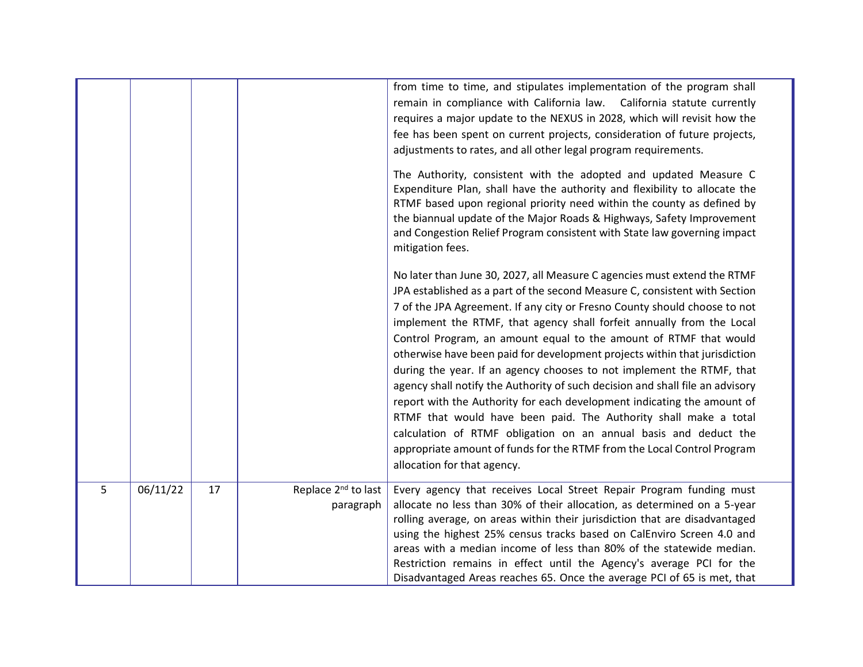|   |          |    |                                              | from time to time, and stipulates implementation of the program shall<br>remain in compliance with California law. California statute currently<br>requires a major update to the NEXUS in 2028, which will revisit how the<br>fee has been spent on current projects, consideration of future projects,<br>adjustments to rates, and all other legal program requirements.<br>The Authority, consistent with the adopted and updated Measure C<br>Expenditure Plan, shall have the authority and flexibility to allocate the<br>RTMF based upon regional priority need within the county as defined by<br>the biannual update of the Major Roads & Highways, Safety Improvement<br>and Congestion Relief Program consistent with State law governing impact<br>mitigation fees.<br>No later than June 30, 2027, all Measure C agencies must extend the RTMF<br>JPA established as a part of the second Measure C, consistent with Section<br>7 of the JPA Agreement. If any city or Fresno County should choose to not<br>implement the RTMF, that agency shall forfeit annually from the Local<br>Control Program, an amount equal to the amount of RTMF that would<br>otherwise have been paid for development projects within that jurisdiction<br>during the year. If an agency chooses to not implement the RTMF, that<br>agency shall notify the Authority of such decision and shall file an advisory<br>report with the Authority for each development indicating the amount of<br>RTMF that would have been paid. The Authority shall make a total<br>calculation of RTMF obligation on an annual basis and deduct the<br>appropriate amount of funds for the RTMF from the Local Control Program<br>allocation for that agency. |
|---|----------|----|----------------------------------------------|--------------------------------------------------------------------------------------------------------------------------------------------------------------------------------------------------------------------------------------------------------------------------------------------------------------------------------------------------------------------------------------------------------------------------------------------------------------------------------------------------------------------------------------------------------------------------------------------------------------------------------------------------------------------------------------------------------------------------------------------------------------------------------------------------------------------------------------------------------------------------------------------------------------------------------------------------------------------------------------------------------------------------------------------------------------------------------------------------------------------------------------------------------------------------------------------------------------------------------------------------------------------------------------------------------------------------------------------------------------------------------------------------------------------------------------------------------------------------------------------------------------------------------------------------------------------------------------------------------------------------------------------------------------------------------------------------------------------------------------------|
| 5 | 06/11/22 | 17 | Replace 2 <sup>nd</sup> to last<br>paragraph | Every agency that receives Local Street Repair Program funding must<br>allocate no less than 30% of their allocation, as determined on a 5-year<br>rolling average, on areas within their jurisdiction that are disadvantaged<br>using the highest 25% census tracks based on CalEnviro Screen 4.0 and<br>areas with a median income of less than 80% of the statewide median.<br>Restriction remains in effect until the Agency's average PCI for the<br>Disadvantaged Areas reaches 65. Once the average PCI of 65 is met, that                                                                                                                                                                                                                                                                                                                                                                                                                                                                                                                                                                                                                                                                                                                                                                                                                                                                                                                                                                                                                                                                                                                                                                                                          |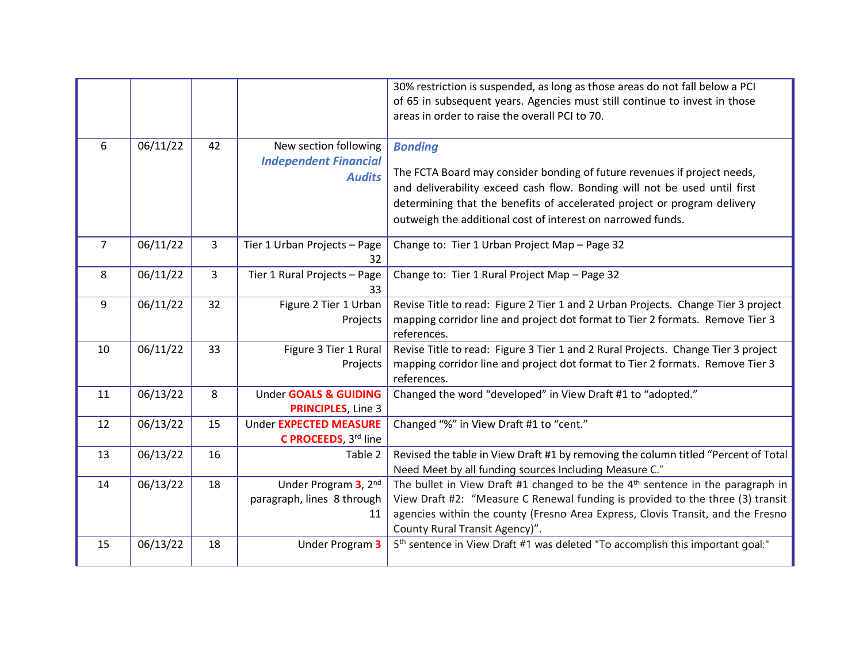|                |          |    |                                                                        | 30% restriction is suspended, as long as those areas do not fall below a PCI<br>of 65 in subsequent years. Agencies must still continue to invest in those<br>areas in order to raise the overall PCI to 70.                                                                                                       |
|----------------|----------|----|------------------------------------------------------------------------|--------------------------------------------------------------------------------------------------------------------------------------------------------------------------------------------------------------------------------------------------------------------------------------------------------------------|
| 6              | 06/11/22 | 42 | New section following<br><b>Independent Financial</b><br><b>Audits</b> | <b>Bonding</b><br>The FCTA Board may consider bonding of future revenues if project needs,<br>and deliverability exceed cash flow. Bonding will not be used until first<br>determining that the benefits of accelerated project or program delivery<br>outweigh the additional cost of interest on narrowed funds. |
| $\overline{7}$ | 06/11/22 | 3  | Tier 1 Urban Projects - Page<br>32                                     | Change to: Tier 1 Urban Project Map - Page 32                                                                                                                                                                                                                                                                      |
| 8              | 06/11/22 | 3  | Tier 1 Rural Projects - Page<br>33                                     | Change to: Tier 1 Rural Project Map - Page 32                                                                                                                                                                                                                                                                      |
| 9              | 06/11/22 | 32 | Figure 2 Tier 1 Urban<br>Projects                                      | Revise Title to read: Figure 2 Tier 1 and 2 Urban Projects. Change Tier 3 project<br>mapping corridor line and project dot format to Tier 2 formats. Remove Tier 3<br>references.                                                                                                                                  |
| 10             | 06/11/22 | 33 | Figure 3 Tier 1 Rural<br>Projects                                      | Revise Title to read: Figure 3 Tier 1 and 2 Rural Projects. Change Tier 3 project<br>mapping corridor line and project dot format to Tier 2 formats. Remove Tier 3<br>references.                                                                                                                                  |
| 11             | 06/13/22 | 8  | Under GOALS & GUIDING<br><b>PRINCIPLES, Line 3</b>                     | Changed the word "developed" in View Draft #1 to "adopted."                                                                                                                                                                                                                                                        |
| 12             | 06/13/22 | 15 | Under EXPECTED MEASURE<br>C PROCEEDS, 3rd line                         | Changed "%" in View Draft #1 to "cent."                                                                                                                                                                                                                                                                            |
| 13             | 06/13/22 | 16 | Table 2                                                                | Revised the table in View Draft #1 by removing the column titled "Percent of Total<br>Need Meet by all funding sources Including Measure C."                                                                                                                                                                       |
| 14             | 06/13/22 | 18 | Under Program 3, 2nd<br>paragraph, lines 8 through<br>11               | The bullet in View Draft #1 changed to be the $4th$ sentence in the paragraph in<br>View Draft #2: "Measure C Renewal funding is provided to the three (3) transit<br>agencies within the county (Fresno Area Express, Clovis Transit, and the Fresno<br>County Rural Transit Agency)".                            |
| 15             | 06/13/22 | 18 | Under Program 3                                                        | 5 <sup>th</sup> sentence in View Draft #1 was deleted "To accomplish this important goal:"                                                                                                                                                                                                                         |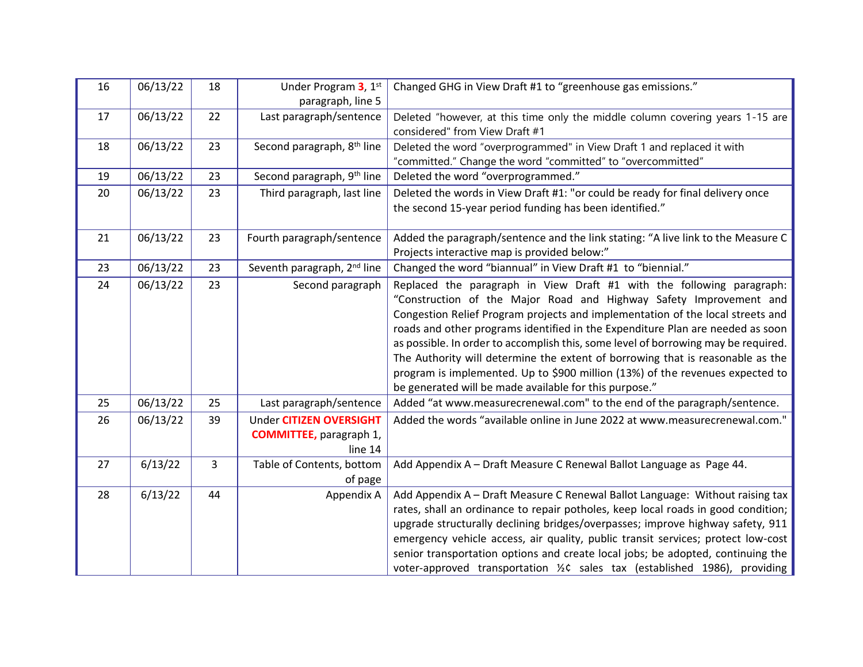| 16 | 06/13/22 | 18             | Under Program 3, 1st<br>paragraph, line 5                             | Changed GHG in View Draft #1 to "greenhouse gas emissions."                                                                                                                                                                                                                                                                                                                                                                                                                                                                                                                                                                        |  |
|----|----------|----------------|-----------------------------------------------------------------------|------------------------------------------------------------------------------------------------------------------------------------------------------------------------------------------------------------------------------------------------------------------------------------------------------------------------------------------------------------------------------------------------------------------------------------------------------------------------------------------------------------------------------------------------------------------------------------------------------------------------------------|--|
| 17 | 06/13/22 | 22             | Last paragraph/sentence                                               | Deleted "however, at this time only the middle column covering years 1-15 are<br>considered" from View Draft #1                                                                                                                                                                                                                                                                                                                                                                                                                                                                                                                    |  |
| 18 | 06/13/22 | 23             | Second paragraph, 8 <sup>th</sup> line                                | Deleted the word "overprogrammed" in View Draft 1 and replaced it with<br>"committed." Change the word "committed" to "overcommitted"                                                                                                                                                                                                                                                                                                                                                                                                                                                                                              |  |
| 19 | 06/13/22 | 23             | Second paragraph, 9 <sup>th</sup> line                                | Deleted the word "overprogrammed."                                                                                                                                                                                                                                                                                                                                                                                                                                                                                                                                                                                                 |  |
| 20 | 06/13/22 | 23             | Third paragraph, last line                                            | Deleted the words in View Draft #1: "or could be ready for final delivery once<br>the second 15-year period funding has been identified."                                                                                                                                                                                                                                                                                                                                                                                                                                                                                          |  |
| 21 | 06/13/22 | 23             | Fourth paragraph/sentence                                             | Added the paragraph/sentence and the link stating: "A live link to the Measure C<br>Projects interactive map is provided below:"                                                                                                                                                                                                                                                                                                                                                                                                                                                                                                   |  |
| 23 | 06/13/22 | 23             | Seventh paragraph, 2 <sup>nd</sup> line                               | Changed the word "biannual" in View Draft #1 to "biennial."                                                                                                                                                                                                                                                                                                                                                                                                                                                                                                                                                                        |  |
| 24 | 06/13/22 | 23             | Second paragraph                                                      | Replaced the paragraph in View Draft #1 with the following paragraph:<br>"Construction of the Major Road and Highway Safety Improvement and<br>Congestion Relief Program projects and implementation of the local streets and<br>roads and other programs identified in the Expenditure Plan are needed as soon<br>as possible. In order to accomplish this, some level of borrowing may be required.<br>The Authority will determine the extent of borrowing that is reasonable as the<br>program is implemented. Up to \$900 million (13%) of the revenues expected to<br>be generated will be made available for this purpose." |  |
| 25 | 06/13/22 | 25             | Last paragraph/sentence                                               | Added "at www.measurecrenewal.com" to the end of the paragraph/sentence.                                                                                                                                                                                                                                                                                                                                                                                                                                                                                                                                                           |  |
| 26 | 06/13/22 | 39             | Under CITIZEN OVERSIGHT<br><b>COMMITTEE</b> , paragraph 1,<br>line 14 | Added the words "available online in June 2022 at www.measurecrenewal.com."                                                                                                                                                                                                                                                                                                                                                                                                                                                                                                                                                        |  |
| 27 | 6/13/22  | $\overline{3}$ | Table of Contents, bottom<br>of page                                  | Add Appendix A - Draft Measure C Renewal Ballot Language as Page 44.                                                                                                                                                                                                                                                                                                                                                                                                                                                                                                                                                               |  |
| 28 | 6/13/22  | 44             | Appendix A                                                            | Add Appendix A - Draft Measure C Renewal Ballot Language: Without raising tax<br>rates, shall an ordinance to repair potholes, keep local roads in good condition;<br>upgrade structurally declining bridges/overpasses; improve highway safety, 911<br>emergency vehicle access, air quality, public transit services; protect low-cost<br>senior transportation options and create local jobs; be adopted, continuing the<br>voter-approved transportation 1/2C sales tax (established 1986), providing                                                                                                                          |  |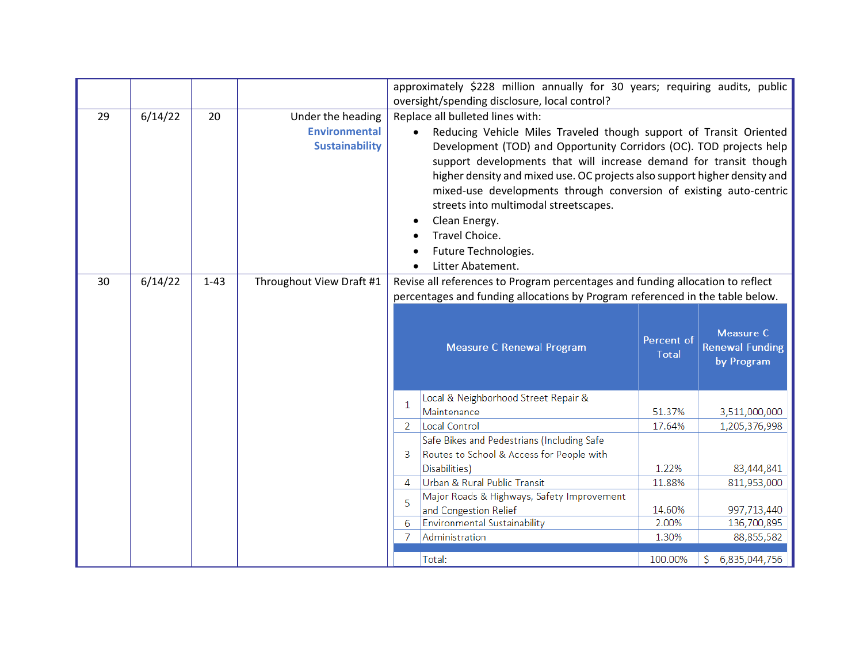|    |         |          |                                                                    |                                                                                                                                                                                                                                                                                                                                                                                                                                                                                                                                             | approximately \$228 million annually for 30 years; requiring audits, public<br>oversight/spending disclosure, local control? |                  |                                      |
|----|---------|----------|--------------------------------------------------------------------|---------------------------------------------------------------------------------------------------------------------------------------------------------------------------------------------------------------------------------------------------------------------------------------------------------------------------------------------------------------------------------------------------------------------------------------------------------------------------------------------------------------------------------------------|------------------------------------------------------------------------------------------------------------------------------|------------------|--------------------------------------|
| 29 | 6/14/22 | 20       | Under the heading<br><b>Environmental</b><br><b>Sustainability</b> | Replace all bulleted lines with:<br>Reducing Vehicle Miles Traveled though support of Transit Oriented<br>$\bullet$<br>Development (TOD) and Opportunity Corridors (OC). TOD projects help<br>support developments that will increase demand for transit though<br>higher density and mixed use. OC projects also support higher density and<br>mixed-use developments through conversion of existing auto-centric<br>streets into multimodal streetscapes.<br>Clean Energy.<br>Travel Choice.<br>Future Technologies.<br>Litter Abatement. |                                                                                                                              |                  |                                      |
| 30 | 6/14/22 | $1 - 43$ | Throughout View Draft #1                                           | Revise all references to Program percentages and funding allocation to reflect<br>percentages and funding allocations by Program referenced in the table below.                                                                                                                                                                                                                                                                                                                                                                             |                                                                                                                              |                  |                                      |
|    |         |          |                                                                    |                                                                                                                                                                                                                                                                                                                                                                                                                                                                                                                                             |                                                                                                                              | Percent of       | Measure C                            |
|    |         |          |                                                                    |                                                                                                                                                                                                                                                                                                                                                                                                                                                                                                                                             | Measure C Renewal Program                                                                                                    | <b>Total</b>     | <b>Renewal Funding</b><br>by Program |
|    |         |          |                                                                    |                                                                                                                                                                                                                                                                                                                                                                                                                                                                                                                                             | Local & Neighborhood Street Repair &                                                                                         |                  |                                      |
|    |         |          |                                                                    | $\mathbf{1}$                                                                                                                                                                                                                                                                                                                                                                                                                                                                                                                                | Maintenance                                                                                                                  | 51.37%           | 3,511,000,000                        |
|    |         |          |                                                                    | -2<br>3                                                                                                                                                                                                                                                                                                                                                                                                                                                                                                                                     | <b>Local Control</b><br>Safe Bikes and Pedestrians (Including Safe                                                           | 17.64%           | 1,205,376,998                        |
|    |         |          |                                                                    |                                                                                                                                                                                                                                                                                                                                                                                                                                                                                                                                             | Routes to School & Access for People with<br>Disabilities)                                                                   | 1.22%            | 83,444,841                           |
|    |         |          |                                                                    | $\overline{A}$                                                                                                                                                                                                                                                                                                                                                                                                                                                                                                                              | Urban & Rural Public Transit                                                                                                 | 11.88%           | 811,953,000                          |
|    |         |          |                                                                    | 5                                                                                                                                                                                                                                                                                                                                                                                                                                                                                                                                           | Major Roads & Highways, Safety Improvement<br>and Congestion Relief                                                          | 14.60%           | 997,713,440                          |
|    |         |          |                                                                    | 6                                                                                                                                                                                                                                                                                                                                                                                                                                                                                                                                           | Environmental Sustainability                                                                                                 | 2.00%            | 136,700,895                          |
|    |         |          |                                                                    | -7                                                                                                                                                                                                                                                                                                                                                                                                                                                                                                                                          | Administration<br>Total:                                                                                                     | 1.30%<br>100.00% | 88,855,582<br>6,835,044,756          |